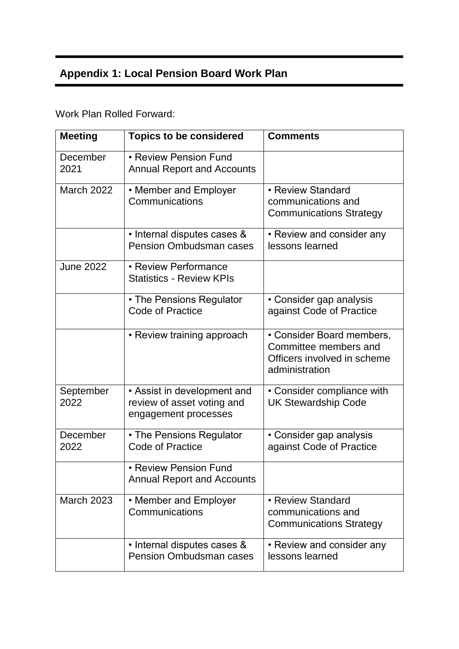## **Appendix 1: Local Pension Board Work Plan**

Work Plan Rolled Forward:

| <b>Meeting</b>    | <b>Topics to be considered</b>                                                    | <b>Comments</b>                                                                                     |
|-------------------|-----------------------------------------------------------------------------------|-----------------------------------------------------------------------------------------------------|
| December<br>2021  | • Review Pension Fund<br><b>Annual Report and Accounts</b>                        |                                                                                                     |
| <b>March 2022</b> | • Member and Employer<br>Communications                                           | • Review Standard<br>communications and<br><b>Communications Strategy</b>                           |
|                   | • Internal disputes cases &<br><b>Pension Ombudsman cases</b>                     | • Review and consider any<br>lessons learned                                                        |
| <b>June 2022</b>  | • Review Performance<br><b>Statistics - Review KPIs</b>                           |                                                                                                     |
|                   | • The Pensions Regulator<br><b>Code of Practice</b>                               | • Consider gap analysis<br>against Code of Practice                                                 |
|                   | • Review training approach                                                        | • Consider Board members,<br>Committee members and<br>Officers involved in scheme<br>administration |
| September<br>2022 | • Assist in development and<br>review of asset voting and<br>engagement processes | • Consider compliance with<br><b>UK Stewardship Code</b>                                            |
| December<br>2022  | • The Pensions Regulator<br><b>Code of Practice</b>                               | • Consider gap analysis<br>against Code of Practice                                                 |
|                   | • Review Pension Fund<br><b>Annual Report and Accounts</b>                        |                                                                                                     |
| <b>March 2023</b> | • Member and Employer<br>Communications                                           | • Review Standard<br>communications and<br><b>Communications Strategy</b>                           |
|                   | • Internal disputes cases &<br><b>Pension Ombudsman cases</b>                     | • Review and consider any<br>lessons learned                                                        |